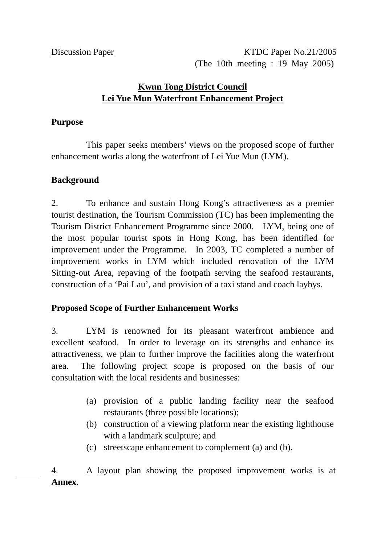Discussion Paper No.21/2005 (The 10th meeting : 19 May 2005)

# **Kwun Tong District Council Lei Yue Mun Waterfront Enhancement Project**

#### **Purpose**

 This paper seeks members' views on the proposed scope of further enhancement works along the waterfront of Lei Yue Mun (LYM).

#### **Background**

2. To enhance and sustain Hong Kong's attractiveness as a premier tourist destination, the Tourism Commission (TC) has been implementing the Tourism District Enhancement Programme since 2000. LYM, being one of the most popular tourist spots in Hong Kong, has been identified for improvement under the Programme. In 2003, TC completed a number of improvement works in LYM which included renovation of the LYM Sitting-out Area, repaving of the footpath serving the seafood restaurants, construction of a 'Pai Lau', and provision of a taxi stand and coach laybys.

### **Proposed Scope of Further Enhancement Works**

3. LYM is renowned for its pleasant waterfront ambience and excellent seafood. In order to leverage on its strengths and enhance its attractiveness, we plan to further improve the facilities along the waterfront area. The following project scope is proposed on the basis of our consultation with the local residents and businesses:

- (a) provision of a public landing facility near the seafood restaurants (three possible locations);
- (b) construction of a viewing platform near the existing lighthouse with a landmark sculpture; and
- (c) streetscape enhancement to complement (a) and (b).

4. A layout plan showing the proposed improvement works is at **Annex**.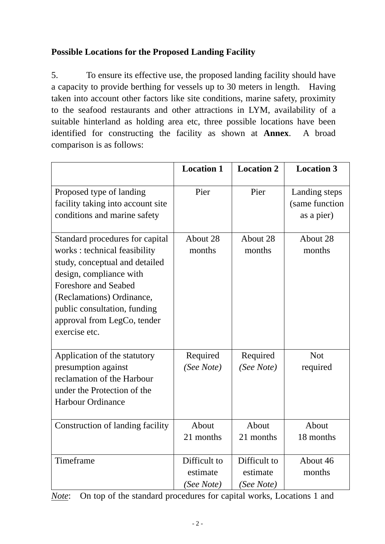# **Possible Locations for the Proposed Landing Facility**

5. To ensure its effective use, the proposed landing facility should have a capacity to provide berthing for vessels up to 30 meters in length. Having taken into account other factors like site conditions, marine safety, proximity to the seafood restaurants and other attractions in LYM, availability of a suitable hinterland as holding area etc, three possible locations have been identified for constructing the facility as shown at **Annex**. A broad comparison is as follows:

|                                                                                                                                                                                                                                                                           | <b>Location 1</b>                      | <b>Location 2</b>                      | <b>Location 3</b>                             |
|---------------------------------------------------------------------------------------------------------------------------------------------------------------------------------------------------------------------------------------------------------------------------|----------------------------------------|----------------------------------------|-----------------------------------------------|
| Proposed type of landing<br>facility taking into account site<br>conditions and marine safety                                                                                                                                                                             | Pier                                   | Pier                                   | Landing steps<br>(same function<br>as a pier) |
| Standard procedures for capital<br>works : technical feasibility<br>study, conceptual and detailed<br>design, compliance with<br><b>Foreshore and Seabed</b><br>(Reclamations) Ordinance,<br>public consultation, funding<br>approval from LegCo, tender<br>exercise etc. | About 28<br>months                     | About 28<br>months                     | About 28<br>months                            |
| Application of the statutory<br>presumption against<br>reclamation of the Harbour<br>under the Protection of the<br><b>Harbour Ordinance</b>                                                                                                                              | Required<br>(See Note)                 | Required<br>(See Note)                 | <b>Not</b><br>required                        |
| Construction of landing facility                                                                                                                                                                                                                                          | About<br>21 months                     | About<br>21 months                     | About<br>18 months                            |
| Timeframe                                                                                                                                                                                                                                                                 | Difficult to<br>estimate<br>(See Note) | Difficult to<br>estimate<br>(See Note) | About 46<br>months                            |

*Note*: On top of the standard procedures for capital works, Locations 1 and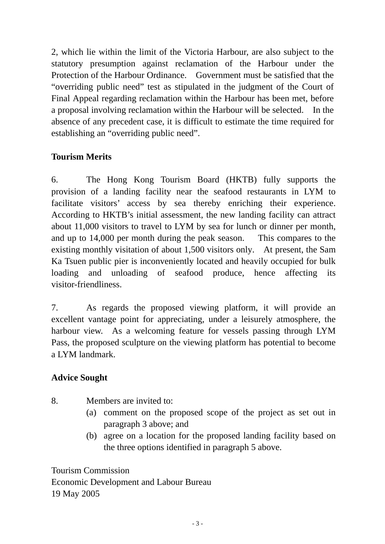2, which lie within the limit of the Victoria Harbour, are also subject to the statutory presumption against reclamation of the Harbour under the Protection of the Harbour Ordinance. Government must be satisfied that the "overriding public need" test as stipulated in the judgment of the Court of Final Appeal regarding reclamation within the Harbour has been met, before a proposal involving reclamation within the Harbour will be selected. In the absence of any precedent case, it is difficult to estimate the time required for establishing an "overriding public need".

## **Tourism Merits**

6. The Hong Kong Tourism Board (HKTB) fully supports the provision of a landing facility near the seafood restaurants in LYM to facilitate visitors' access by sea thereby enriching their experience. According to HKTB's initial assessment, the new landing facility can attract about 11,000 visitors to travel to LYM by sea for lunch or dinner per month, and up to 14,000 per month during the peak season. This compares to the existing monthly visitation of about 1,500 visitors only. At present, the Sam Ka Tsuen public pier is inconveniently located and heavily occupied for bulk loading and unloading of seafood produce, hence affecting its visitor-friendliness.

7. As regards the proposed viewing platform, it will provide an excellent vantage point for appreciating, under a leisurely atmosphere, the harbour view. As a welcoming feature for vessels passing through LYM Pass, the proposed sculpture on the viewing platform has potential to become a LYM landmark.

### **Advice Sought**

- 8. Members are invited to:
	- (a) comment on the proposed scope of the project as set out in paragraph 3 above; and
	- (b) agree on a location for the proposed landing facility based on the three options identified in paragraph 5 above.

Tourism Commission Economic Development and Labour Bureau 19 May 2005